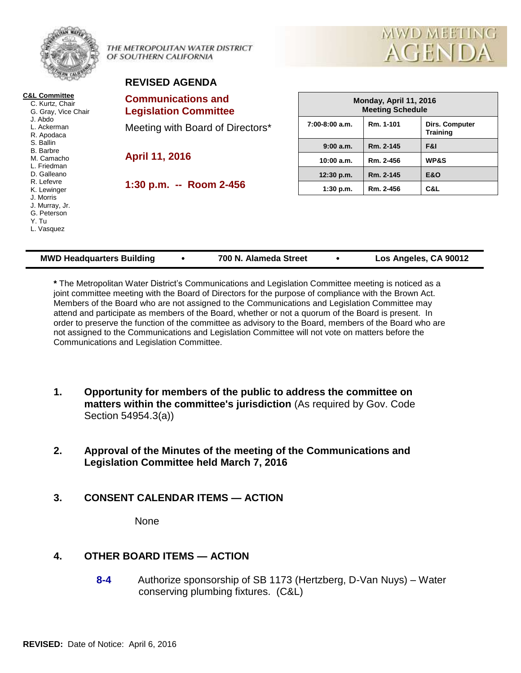|                                                                                                                                                                                                                                                                                           | THE METROPOLITAN WATER DISTRICT<br>OF SOUTHERN CALIFORNIA | MWD MEETING<br><b>AGENDA</b>                      |           |                                          |  |  |  |
|-------------------------------------------------------------------------------------------------------------------------------------------------------------------------------------------------------------------------------------------------------------------------------------------|-----------------------------------------------------------|---------------------------------------------------|-----------|------------------------------------------|--|--|--|
|                                                                                                                                                                                                                                                                                           | <b>REVISED AGENDA</b>                                     |                                                   |           |                                          |  |  |  |
| <b>C&amp;L Committee</b><br>C. Kurtz, Chair<br>G. Gray, Vice Chair<br>J. Abdo<br>L. Ackerman<br>R. Apodaca<br>S. Ballin<br><b>B.</b> Barbre<br>M. Camacho<br>L. Friedman<br>D. Galleano<br>R. Lefevre<br>K. Lewinger<br>J. Morris<br>J. Murray, Jr.<br>G. Peterson<br>Y. Tu<br>L. Vasquez | <b>Communications and</b><br><b>Legislation Committee</b> | Monday, April 11, 2016<br><b>Meeting Schedule</b> |           |                                          |  |  |  |
|                                                                                                                                                                                                                                                                                           | Meeting with Board of Directors*                          | $7:00-8:00$ a.m.                                  | Rm. 1-101 | <b>Dirs. Computer</b><br><b>Training</b> |  |  |  |
|                                                                                                                                                                                                                                                                                           | <b>April 11, 2016</b>                                     | 9:00a.m.                                          | Rm. 2-145 | F&I                                      |  |  |  |
|                                                                                                                                                                                                                                                                                           |                                                           | 10:00 a.m.                                        | Rm. 2-456 | <b>WP&amp;S</b>                          |  |  |  |
|                                                                                                                                                                                                                                                                                           |                                                           | 12:30 p.m.                                        | Rm. 2-145 | <b>E&amp;O</b>                           |  |  |  |
|                                                                                                                                                                                                                                                                                           | 1:30 p.m. -- Room 2-456                                   | 1:30 p.m.                                         | Rm. 2-456 | C&L                                      |  |  |  |
|                                                                                                                                                                                                                                                                                           |                                                           |                                                   |           |                                          |  |  |  |

| <b>MWD Headquarters Building</b> |  | 700 N. Alameda Street |  | Los Angeles, CA 90012 |
|----------------------------------|--|-----------------------|--|-----------------------|
|----------------------------------|--|-----------------------|--|-----------------------|

**\*** The Metropolitan Water District's Communications and Legislation Committee meeting is noticed as a joint committee meeting with the Board of Directors for the purpose of compliance with the Brown Act. Members of the Board who are not assigned to the Communications and Legislation Committee may attend and participate as members of the Board, whether or not a quorum of the Board is present. In order to preserve the function of the committee as advisory to the Board, members of the Board who are not assigned to the Communications and Legislation Committee will not vote on matters before the Communications and Legislation Committee.

- **1. Opportunity for members of the public to address the committee on matters within the committee's jurisdiction** (As required by Gov. Code Section 54954.3(a))
- **2. Approval of the Minutes of the meeting of the Communications and Legislation Committee held March 7, 2016**
- **3. CONSENT CALENDAR ITEMS — ACTION**

None

# **4. OTHER BOARD ITEMS — ACTION**

**8-4** Authorize sponsorship of SB 1173 (Hertzberg, D-Van Nuys) – Water conserving plumbing fixtures. (C&L)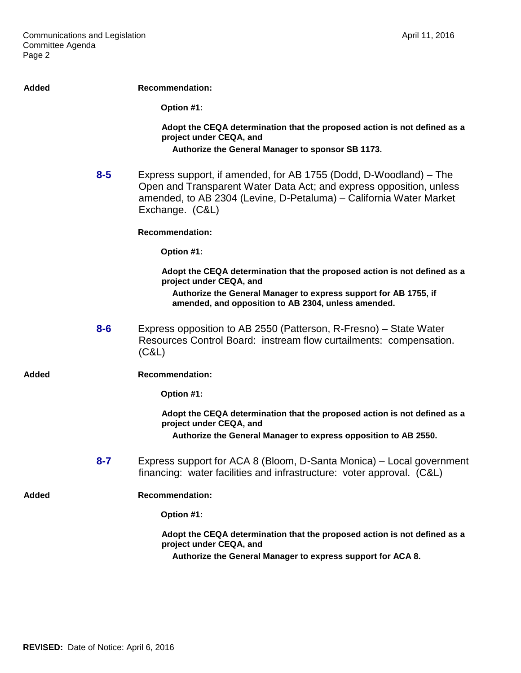| <b>Added</b> |         | <b>Recommendation:</b>                                                                                                                                                                                                            |
|--------------|---------|-----------------------------------------------------------------------------------------------------------------------------------------------------------------------------------------------------------------------------------|
|              |         | Option #1:                                                                                                                                                                                                                        |
|              |         | Adopt the CEQA determination that the proposed action is not defined as a<br>project under CEQA, and                                                                                                                              |
|              |         | Authorize the General Manager to sponsor SB 1173.                                                                                                                                                                                 |
|              | $8 - 5$ | Express support, if amended, for AB 1755 (Dodd, D-Woodland) – The<br>Open and Transparent Water Data Act; and express opposition, unless<br>amended, to AB 2304 (Levine, D-Petaluma) - California Water Market<br>Exchange. (C&L) |
|              |         | <b>Recommendation:</b>                                                                                                                                                                                                            |
|              |         | Option #1:                                                                                                                                                                                                                        |
|              |         | Adopt the CEQA determination that the proposed action is not defined as a<br>project under CEQA, and                                                                                                                              |
|              |         | Authorize the General Manager to express support for AB 1755, if<br>amended, and opposition to AB 2304, unless amended.                                                                                                           |
|              | $8-6$   | Express opposition to AB 2550 (Patterson, R-Fresno) – State Water<br>Resources Control Board: instream flow curtailments: compensation.<br>(C&L)                                                                                  |
| Added        |         | <b>Recommendation:</b>                                                                                                                                                                                                            |
|              |         | Option #1:                                                                                                                                                                                                                        |
|              |         | Adopt the CEQA determination that the proposed action is not defined as a<br>project under CEQA, and                                                                                                                              |
|              |         | Authorize the General Manager to express opposition to AB 2550.                                                                                                                                                                   |
|              | $8 - 7$ | Express support for ACA 8 (Bloom, D-Santa Monica) – Local government<br>financing: water facilities and infrastructure: voter approval. (C&L)                                                                                     |
| <b>Added</b> |         | <b>Recommendation:</b>                                                                                                                                                                                                            |
|              |         | Option #1:                                                                                                                                                                                                                        |
|              |         | Adopt the CEQA determination that the proposed action is not defined as a<br>project under CEQA, and                                                                                                                              |
|              |         | Authorize the General Manager to express support for ACA 8.                                                                                                                                                                       |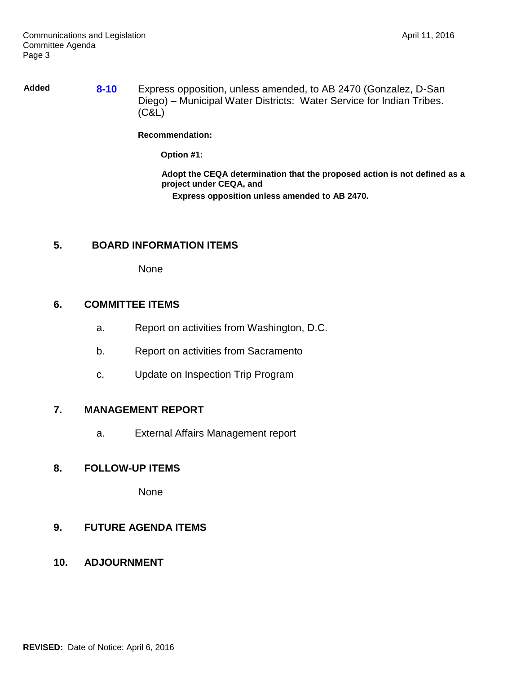**Added 8-10** Express opposition, unless amended, to AB 2470 (Gonzalez, D-San Diego) – Municipal Water Districts: Water Service for Indian Tribes. (C&L)

#### **Recommendation:**

**Option #1:**

**Adopt the CEQA determination that the proposed action is not defined as a project under CEQA, and**

**Express opposition unless amended to AB 2470.**

## **5. BOARD INFORMATION ITEMS**

None

# **6. COMMITTEE ITEMS**

- a. Report on activities from Washington, D.C.
- b. Report on activities from Sacramento
- c. Update on Inspection Trip Program

## **7. MANAGEMENT REPORT**

a. External Affairs Management report

# **8. FOLLOW-UP ITEMS**

None

## **9. FUTURE AGENDA ITEMS**

**10. ADJOURNMENT**